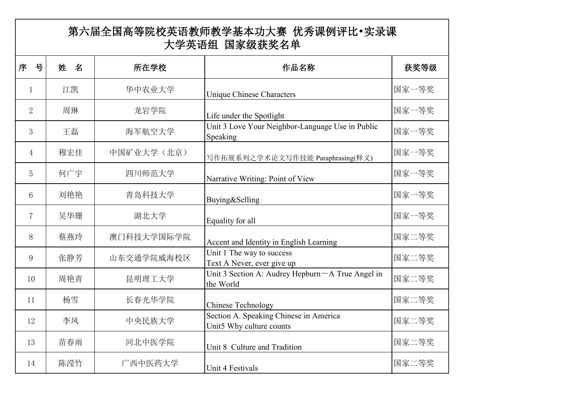| 第六届全国高等院校英语教师教学基本功大赛 优秀课例评比•实录课<br>大学英语组 国家级获奖名单 |        |            |                                                                    |       |  |  |
|--------------------------------------------------|--------|------------|--------------------------------------------------------------------|-------|--|--|
| 号<br>序                                           | 姓<br>名 | 所在学校       | 作品名称                                                               | 获奖等级  |  |  |
| $\mathbf{1}$                                     | 江凯     | 华中农业大学     | <b>Unique Chinese Characters</b>                                   | 国家一等奖 |  |  |
| $\overline{2}$                                   | 周琳     | 龙岩学院       | Life under the Spotlight                                           | 国家一等奖 |  |  |
| 3                                                | 王磊     | 海军航空大学     | Unit 3 Love Your Neighbor-Language Use in Public<br>Speaking       | 国家一等奖 |  |  |
| $\overline{4}$                                   | 穆宏佳    | 中国矿业大学(北京) | 写作拓展系列之学术论文写作技能 Paraphrasing(释义)                                   | 国家一等奖 |  |  |
| 5                                                | 何广宇    | 四川师范大学     | Narrative Writing: Point of View                                   | 国家一等奖 |  |  |
| 6                                                | 刘艳艳    | 青岛科技大学     | Buying&Selling                                                     | 国家一等奖 |  |  |
| $7\phantom{.0}$                                  | 吴华珊    | 湖北大学       | Equality for all                                                   | 国家一等奖 |  |  |
| 8                                                | 蔡燕玲    | 澳门科技大学国际学院 | Accent and Identity in English Learning                            | 国家二等奖 |  |  |
| 9                                                | 张静芳    | 山东交通学院威海校区 | Unit 1 The way to success<br>Text A Never, ever give up            | 国家二等奖 |  |  |
| 10                                               | 周艳青    | 昆明理工大学     | Unit 3 Section A: Audrey Hepburn - A True Angel in<br>the World    | 国家二等奖 |  |  |
| 11                                               | 杨雪     | 长春光华学院     | <b>Chinese Technology</b>                                          | 国家二等奖 |  |  |
| 12                                               | 李凤     | 中央民族大学     | Section A. Speaking Chinese in America<br>Unit5 Why culture counts | 国家二等奖 |  |  |
| 13                                               | 苗春雨    | 河北中医学院     | Unit 8 Culture and Tradition                                       | 国家二等奖 |  |  |
| 14                                               | 陈滢竹    | 广西中医药大学    | Unit 4 Festivals                                                   | 国家二等奖 |  |  |